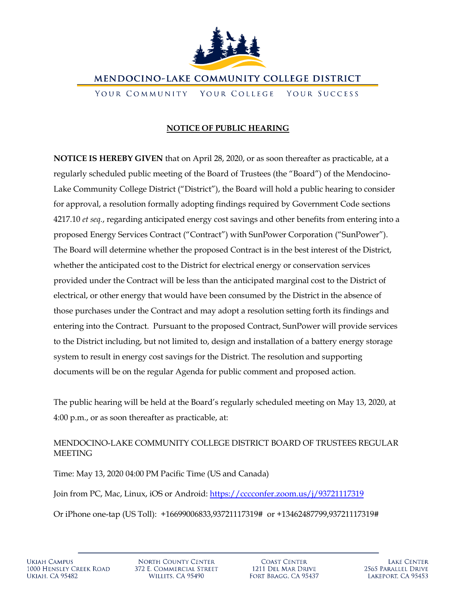

MENDOCINO-LAKE COMMUNITY COLLEGE DISTRICT

YOUR COMMUNITY YOUR COLLEGE YOUR SUCCESS

# **NOTICE OF PUBLIC HEARING**

**NOTICE IS HEREBY GIVEN** that on April 28, 2020, or as soon thereafter as practicable, at a regularly scheduled public meeting of the Board of Trustees (the "Board") of the Mendocino-Lake Community College District ("District"), the Board will hold a public hearing to consider for approval, a resolution formally adopting findings required by Government Code sections 4217.10 *et seq.*, regarding anticipated energy cost savings and other benefits from entering into a proposed Energy Services Contract ("Contract") with SunPower Corporation ("SunPower"). The Board will determine whether the proposed Contract is in the best interest of the District, whether the anticipated cost to the District for electrical energy or conservation services provided under the Contract will be less than the anticipated marginal cost to the District of electrical, or other energy that would have been consumed by the District in the absence of those purchases under the Contract and may adopt a resolution setting forth its findings and entering into the Contract. Pursuant to the proposed Contract, SunPower will provide services to the District including, but not limited to, design and installation of a battery energy storage system to result in energy cost savings for the District. The resolution and supporting documents will be on the regular Agenda for public comment and proposed action.

The public hearing will be held at the Board's regularly scheduled meeting on May 13, 2020, at 4:00 p.m., or as soon thereafter as practicable, at:

# MENDOCINO-LAKE COMMUNITY COLLEGE DISTRICT BOARD OF TRUSTEES REGULAR MEETING

Time: May 13, 2020 04:00 PM Pacific Time (US and Canada) Join from PC, Mac, Linux, iOS or Android:<https://cccconfer.zoom.us/j/93721117319> Or iPhone one-tap (US Toll): +16699006833,93721117319# or +13462487799,93721117319#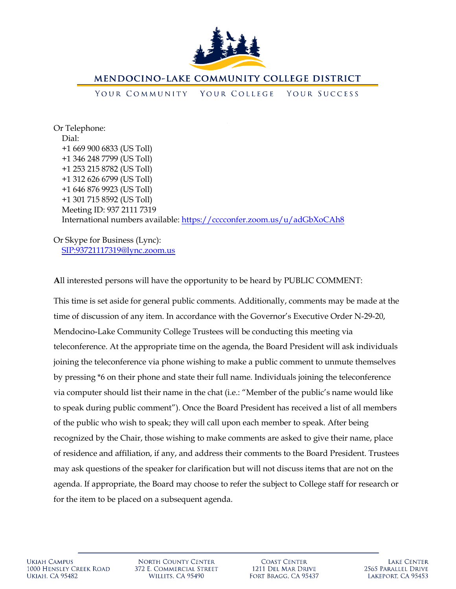

### **MENDOCINO-LAKE COMMUNITY COLLEGE DISTRICT**

#### YOUR COMMUNITY YOUR COLLEGE YOUR SUCCESS

Or Telephone: Dial: +1 669 900 6833 (US Toll) +1 346 248 7799 (US Toll) +1 253 215 8782 (US Toll) +1 312 626 6799 (US Toll) +1 646 876 9923 (US Toll) +1 301 715 8592 (US Toll) Meeting ID: 937 2111 7319 International numbers available:<https://cccconfer.zoom.us/u/adGbXoCAh8>

Or Skype for Business (Lync): <SIP:93721117319@lync.zoom.us>

**A**ll interested persons will have the opportunity to be heard by PUBLIC COMMENT:

This time is set aside for general public comments. Additionally, comments may be made at the time of discussion of any item. In accordance with the Governor's Executive Order N-29-20, Mendocino-Lake Community College Trustees will be conducting this meeting via teleconference. At the appropriate time on the agenda, the Board President will ask individuals joining the teleconference via phone wishing to make a public comment to unmute themselves by pressing \*6 on their phone and state their full name. Individuals joining the teleconference via computer should list their name in the chat (i.e.: "Member of the public's name would like to speak during public comment"). Once the Board President has received a list of all members of the public who wish to speak; they will call upon each member to speak. After being recognized by the Chair, those wishing to make comments are asked to give their name, place of residence and affiliation, if any, and address their comments to the Board President. Trustees may ask questions of the speaker for clarification but will not discuss items that are not on the agenda. If appropriate, the Board may choose to refer the subject to College staff for research or for the item to be placed on a subsequent agenda.

**NORTH COUNTY CENTER** 372 E. COMMERCIAL STREET WILLITS, CA 95490

**COAST CENTER** 1211 DEL MAR DRIVE FORT BRAGG, CA 95437